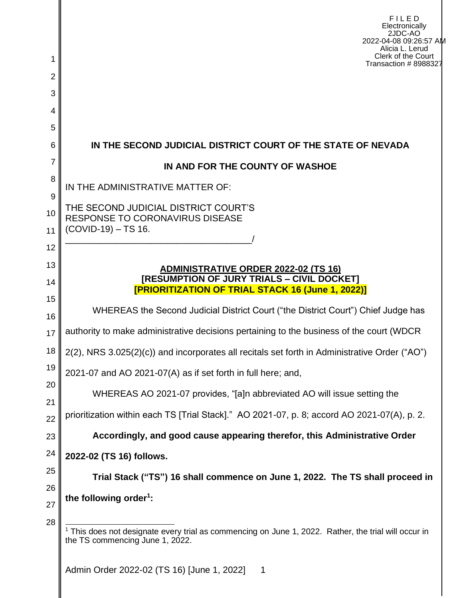|               | FILED<br>Electronically<br>2JDC-AO<br>2022-04-08 09:26:57 AM<br>Alicia L. Lerud                                                                |  |
|---------------|------------------------------------------------------------------------------------------------------------------------------------------------|--|
|               | Clerk of the Court<br>Transaction # 8988327                                                                                                    |  |
| 2<br>3        |                                                                                                                                                |  |
| 4             |                                                                                                                                                |  |
| 5             |                                                                                                                                                |  |
| 6             | IN THE SECOND JUDICIAL DISTRICT COURT OF THE STATE OF NEVADA                                                                                   |  |
| 7             | IN AND FOR THE COUNTY OF WASHOE                                                                                                                |  |
| 8             | IN THE ADMINISTRATIVE MATTER OF:                                                                                                               |  |
| 9<br>10<br>11 | THE SECOND JUDICIAL DISTRICT COURT'S<br><b>RESPONSE TO CORONAVIRUS DISEASE</b><br>(COVID-19) - TS 16.                                          |  |
| 12            |                                                                                                                                                |  |
| 13<br>14      | ADMINISTRATIVE ORDER 2022-02 (TS 16)<br>[RESUMPTION OF JURY TRIALS - CIVIL DOCKET]<br><b>[PRIORITIZATION OF TRIAL STACK 16 (June 1, 2022)]</b> |  |
| 15<br>16      | WHEREAS the Second Judicial District Court ("the District Court") Chief Judge has                                                              |  |
| 17            | authority to make administrative decisions pertaining to the business of the court (WDCR                                                       |  |
| 18            | 2(2), NRS 3.025(2)(c)) and incorporates all recitals set forth in Administrative Order ("AO")                                                  |  |
| 19            | 2021-07 and AO 2021-07(A) as if set forth in full here; and,                                                                                   |  |
| 20            | WHEREAS AO 2021-07 provides, "[a]n abbreviated AO will issue setting the                                                                       |  |
| 21<br>22      | prioritization within each TS [Trial Stack]." AO 2021-07, p. 8; accord AO 2021-07(A), p. 2.                                                    |  |
| 23            | Accordingly, and good cause appearing therefor, this Administrative Order                                                                      |  |
| 24            | 2022-02 (TS 16) follows.                                                                                                                       |  |
| 25            | Trial Stack ("TS") 16 shall commence on June 1, 2022. The TS shall proceed in                                                                  |  |
| 26            | the following order <sup>1</sup> :                                                                                                             |  |
| 27            |                                                                                                                                                |  |
| 28            | This does not designate every trial as commencing on June 1, 2022. Rather, the trial will occur in<br>the TS commencing June 1, 2022.          |  |
|               | Admin Order 2022-02 (TS 16) June 1, 2022]                                                                                                      |  |

Admin Order 2022-02 (TS 16) [June 1, 2022] 1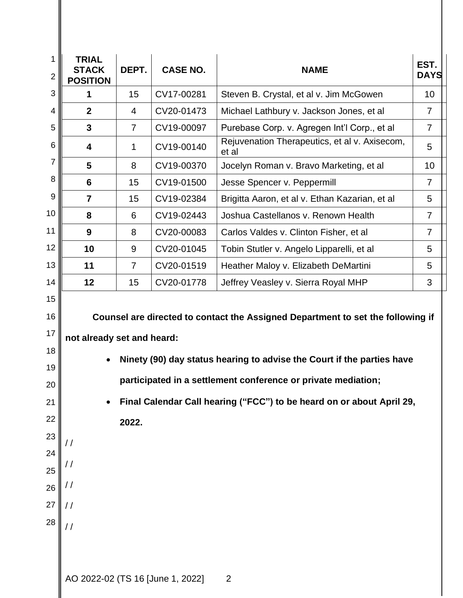| 1<br>$\overline{2}$ | <b>TRIAL</b><br><b>STACK</b><br><b>POSITION</b>                                    | DEPT.          | <b>CASE NO.</b> | <b>NAME</b>                                            | EST.<br><b>DAYS</b> |  |  |  |
|---------------------|------------------------------------------------------------------------------------|----------------|-----------------|--------------------------------------------------------|---------------------|--|--|--|
| 3                   | 1                                                                                  | 15             | CV17-00281      | Steven B. Crystal, et al v. Jim McGowen                | 10                  |  |  |  |
| 4                   | $\mathbf{2}$                                                                       | 4              | CV20-01473      | Michael Lathbury v. Jackson Jones, et al               | $\overline{7}$      |  |  |  |
| 5                   | $\mathbf{3}$                                                                       | $\overline{7}$ | CV19-00097      | Purebase Corp. v. Agregen Int'l Corp., et al           | $\overline{7}$      |  |  |  |
| 6                   | $\overline{\mathbf{4}}$                                                            | 1              | CV19-00140      | Rejuvenation Therapeutics, et al v. Axisecom,<br>et al | 5                   |  |  |  |
| 7                   | 5                                                                                  | 8              | CV19-00370      | Jocelyn Roman v. Bravo Marketing, et al                | 10                  |  |  |  |
| 8                   | 6                                                                                  | 15             | CV19-01500      | Jesse Spencer v. Peppermill                            | $\overline{7}$      |  |  |  |
| 9                   | $\overline{7}$                                                                     | 15             | CV19-02384      | Brigitta Aaron, et al v. Ethan Kazarian, et al         | 5                   |  |  |  |
| 10                  | 8                                                                                  | 6              | CV19-02443      | Joshua Castellanos v. Renown Health                    | $\overline{7}$      |  |  |  |
| 11                  | 9                                                                                  | 8              | CV20-00083      | Carlos Valdes v. Clinton Fisher, et al                 | $\overline{7}$      |  |  |  |
| 12                  | 10                                                                                 | 9              | CV20-01045      | Tobin Stutler v. Angelo Lipparelli, et al              | 5                   |  |  |  |
| 13                  | 11                                                                                 | $\overline{7}$ | CV20-01519      | Heather Maloy v. Elizabeth DeMartini                   | 5                   |  |  |  |
| 14                  | 12                                                                                 | 15             | CV20-01778      | Jeffrey Veasley v. Sierra Royal MHP                    | 3                   |  |  |  |
| 15                  |                                                                                    |                |                 |                                                        |                     |  |  |  |
| 16                  | Counsel are directed to contact the Assigned Department to set the following if    |                |                 |                                                        |                     |  |  |  |
| 17                  | not already set and heard:                                                         |                |                 |                                                        |                     |  |  |  |
| 18<br>19            | Ninety (90) day status hearing to advise the Court if the parties have             |                |                 |                                                        |                     |  |  |  |
| 20                  | participated in a settlement conference or private mediation;                      |                |                 |                                                        |                     |  |  |  |
| 21                  | Final Calendar Call hearing ("FCC") to be heard on or about April 29,<br>$\bullet$ |                |                 |                                                        |                     |  |  |  |
| 22                  | 2022.                                                                              |                |                 |                                                        |                     |  |  |  |
| 23                  |                                                                                    |                |                 |                                                        |                     |  |  |  |
| 24                  | //                                                                                 |                |                 |                                                        |                     |  |  |  |
| 25                  | / /                                                                                |                |                 |                                                        |                     |  |  |  |
| 26                  | / /                                                                                |                |                 |                                                        |                     |  |  |  |
| 27                  | $\prime\prime$                                                                     |                |                 |                                                        |                     |  |  |  |
| 28                  | $\frac{1}{2}$                                                                      |                |                 |                                                        |                     |  |  |  |
|                     |                                                                                    |                |                 |                                                        |                     |  |  |  |
|                     |                                                                                    |                |                 |                                                        |                     |  |  |  |
|                     | AO 2022-02 (TS 16 [June 1, 2022]<br>2                                              |                |                 |                                                        |                     |  |  |  |